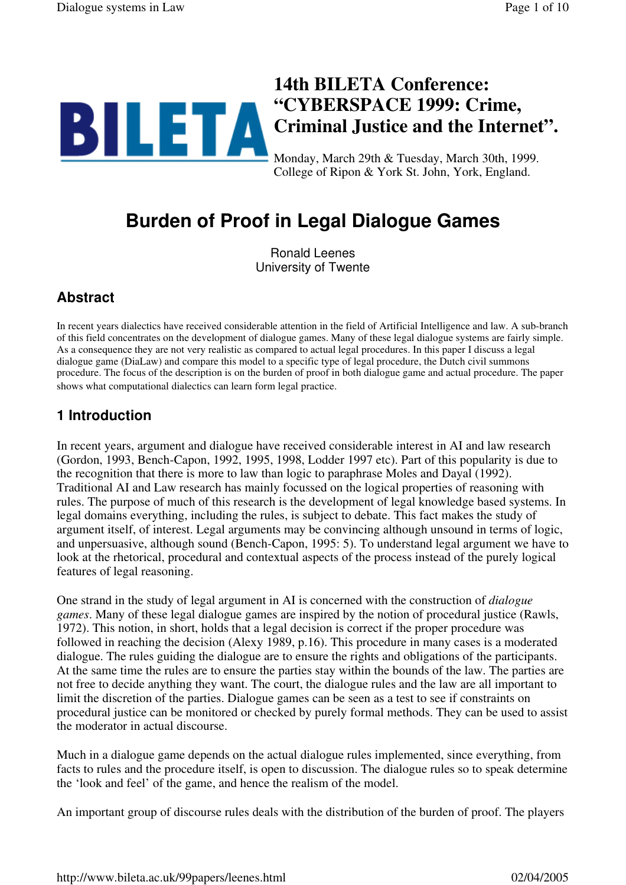# **14th BILETA Conference: "CYBERSPACE 1999: Crime, Criminal Justice and the Internet".** Monday, March 29th & Tuesday, March 30th, 1999.

College of Ripon & York St. John, York, England.

# **Burden of Proof in Legal Dialogue Games**

Ronald Leenes University of Twente

## **Abstract**

In recent years dialectics have received considerable attention in the field of Artificial Intelligence and law. A sub-branch of this field concentrates on the development of dialogue games. Many of these legal dialogue systems are fairly simple. As a consequence they are not very realistic as compared to actual legal procedures. In this paper I discuss a legal dialogue game (DiaLaw) and compare this model to a specific type of legal procedure, the Dutch civil summons procedure. The focus of the description is on the burden of proof in both dialogue game and actual procedure. The paper shows what computational dialectics can learn form legal practice.

## **1 Introduction**

In recent years, argument and dialogue have received considerable interest in AI and law research (Gordon, 1993, Bench-Capon, 1992, 1995, 1998, Lodder 1997 etc). Part of this popularity is due to the recognition that there is more to law than logic to paraphrase Moles and Dayal (1992). Traditional AI and Law research has mainly focussed on the logical properties of reasoning with rules. The purpose of much of this research is the development of legal knowledge based systems. In legal domains everything, including the rules, is subject to debate. This fact makes the study of argument itself, of interest. Legal arguments may be convincing although unsound in terms of logic, and unpersuasive, although sound (Bench-Capon, 1995: 5). To understand legal argument we have to look at the rhetorical, procedural and contextual aspects of the process instead of the purely logical features of legal reasoning.

One strand in the study of legal argument in AI is concerned with the construction of *dialogue games*. Many of these legal dialogue games are inspired by the notion of procedural justice (Rawls, 1972). This notion, in short, holds that a legal decision is correct if the proper procedure was followed in reaching the decision (Alexy 1989, p.16). This procedure in many cases is a moderated dialogue. The rules guiding the dialogue are to ensure the rights and obligations of the participants. At the same time the rules are to ensure the parties stay within the bounds of the law. The parties are not free to decide anything they want. The court, the dialogue rules and the law are all important to limit the discretion of the parties. Dialogue games can be seen as a test to see if constraints on procedural justice can be monitored or checked by purely formal methods. They can be used to assist the moderator in actual discourse.

Much in a dialogue game depends on the actual dialogue rules implemented, since everything, from facts to rules and the procedure itself, is open to discussion. The dialogue rules so to speak determine the 'look and feel' of the game, and hence the realism of the model.

An important group of discourse rules deals with the distribution of the burden of proof. The players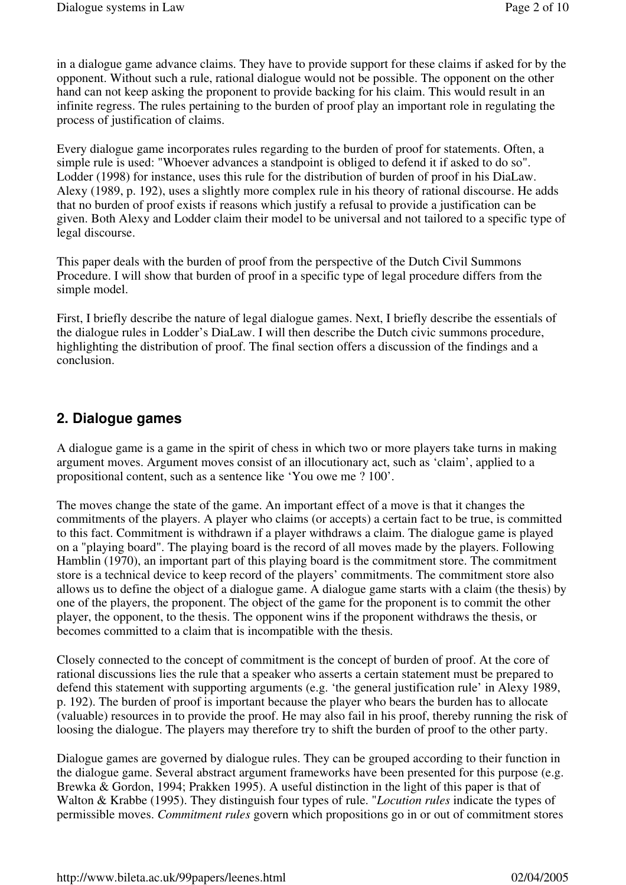in a dialogue game advance claims. They have to provide support for these claims if asked for by the opponent. Without such a rule, rational dialogue would not be possible. The opponent on the other hand can not keep asking the proponent to provide backing for his claim. This would result in an infinite regress. The rules pertaining to the burden of proof play an important role in regulating the process of justification of claims.

Every dialogue game incorporates rules regarding to the burden of proof for statements. Often, a simple rule is used: "Whoever advances a standpoint is obliged to defend it if asked to do so". Lodder (1998) for instance, uses this rule for the distribution of burden of proof in his DiaLaw. Alexy (1989, p. 192), uses a slightly more complex rule in his theory of rational discourse. He adds that no burden of proof exists if reasons which justify a refusal to provide a justification can be given. Both Alexy and Lodder claim their model to be universal and not tailored to a specific type of legal discourse.

This paper deals with the burden of proof from the perspective of the Dutch Civil Summons Procedure. I will show that burden of proof in a specific type of legal procedure differs from the simple model.

First, I briefly describe the nature of legal dialogue games. Next, I briefly describe the essentials of the dialogue rules in Lodder's DiaLaw. I will then describe the Dutch civic summons procedure, highlighting the distribution of proof. The final section offers a discussion of the findings and a conclusion.

### **2. Dialogue games**

A dialogue game is a game in the spirit of chess in which two or more players take turns in making argument moves. Argument moves consist of an illocutionary act, such as 'claim', applied to a propositional content, such as a sentence like 'You owe me ? 100'.

The moves change the state of the game. An important effect of a move is that it changes the commitments of the players. A player who claims (or accepts) a certain fact to be true, is committed to this fact. Commitment is withdrawn if a player withdraws a claim. The dialogue game is played on a "playing board". The playing board is the record of all moves made by the players. Following Hamblin (1970), an important part of this playing board is the commitment store. The commitment store is a technical device to keep record of the players' commitments. The commitment store also allows us to define the object of a dialogue game. A dialogue game starts with a claim (the thesis) by one of the players, the proponent. The object of the game for the proponent is to commit the other player, the opponent, to the thesis. The opponent wins if the proponent withdraws the thesis, or becomes committed to a claim that is incompatible with the thesis.

Closely connected to the concept of commitment is the concept of burden of proof. At the core of rational discussions lies the rule that a speaker who asserts a certain statement must be prepared to defend this statement with supporting arguments (e.g. 'the general justification rule' in Alexy 1989, p. 192). The burden of proof is important because the player who bears the burden has to allocate (valuable) resources in to provide the proof. He may also fail in his proof, thereby running the risk of loosing the dialogue. The players may therefore try to shift the burden of proof to the other party.

Dialogue games are governed by dialogue rules. They can be grouped according to their function in the dialogue game. Several abstract argument frameworks have been presented for this purpose (e.g. Brewka & Gordon, 1994; Prakken 1995). A useful distinction in the light of this paper is that of Walton & Krabbe (1995). They distinguish four types of rule. "*Locution rules* indicate the types of permissible moves. *Commitment rules* govern which propositions go in or out of commitment stores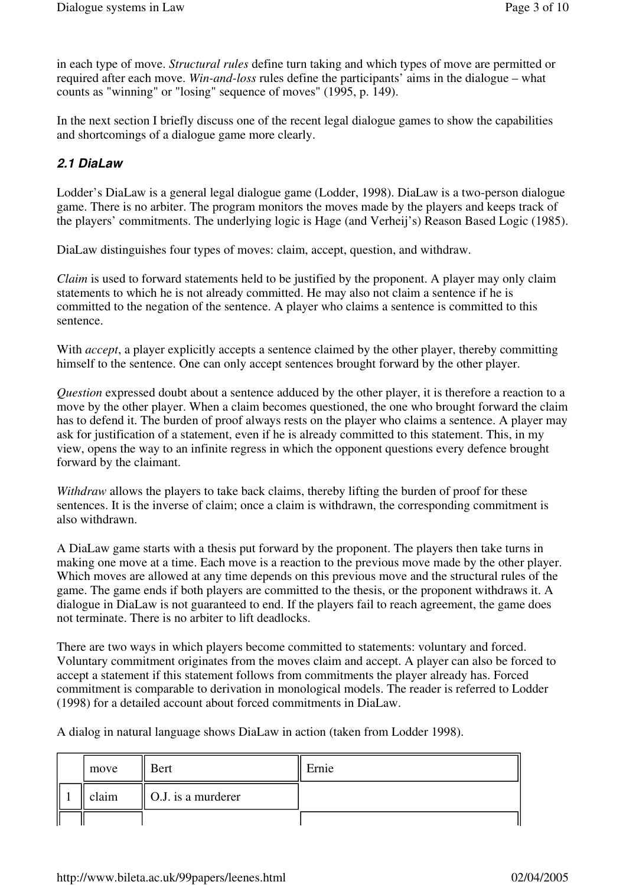in each type of move. *Structural rules* define turn taking and which types of move are permitted or required after each move. *Win-and-loss* rules define the participants' aims in the dialogue – what counts as "winning" or "losing" sequence of moves" (1995, p. 149).

In the next section I briefly discuss one of the recent legal dialogue games to show the capabilities and shortcomings of a dialogue game more clearly.

#### **2.1 DiaLaw**

Lodder's DiaLaw is a general legal dialogue game (Lodder, 1998). DiaLaw is a two-person dialogue game. There is no arbiter. The program monitors the moves made by the players and keeps track of the players' commitments. The underlying logic is Hage (and Verheij's) Reason Based Logic (1985).

DiaLaw distinguishes four types of moves: claim, accept, question, and withdraw.

*Claim* is used to forward statements held to be justified by the proponent. A player may only claim statements to which he is not already committed. He may also not claim a sentence if he is committed to the negation of the sentence. A player who claims a sentence is committed to this sentence.

With *accept*, a player explicitly accepts a sentence claimed by the other player, thereby committing himself to the sentence. One can only accept sentences brought forward by the other player.

*Question* expressed doubt about a sentence adduced by the other player, it is therefore a reaction to a move by the other player. When a claim becomes questioned, the one who brought forward the claim has to defend it. The burden of proof always rests on the player who claims a sentence. A player may ask for justification of a statement, even if he is already committed to this statement. This, in my view, opens the way to an infinite regress in which the opponent questions every defence brought forward by the claimant.

*Withdraw* allows the players to take back claims, thereby lifting the burden of proof for these sentences. It is the inverse of claim; once a claim is withdrawn, the corresponding commitment is also withdrawn.

A DiaLaw game starts with a thesis put forward by the proponent. The players then take turns in making one move at a time. Each move is a reaction to the previous move made by the other player. Which moves are allowed at any time depends on this previous move and the structural rules of the game. The game ends if both players are committed to the thesis, or the proponent withdraws it. A dialogue in DiaLaw is not guaranteed to end. If the players fail to reach agreement, the game does not terminate. There is no arbiter to lift deadlocks.

There are two ways in which players become committed to statements: voluntary and forced. Voluntary commitment originates from the moves claim and accept. A player can also be forced to accept a statement if this statement follows from commitments the player already has. Forced commitment is comparable to derivation in monological models. The reader is referred to Lodder (1998) for a detailed account about forced commitments in DiaLaw.

A dialog in natural language shows DiaLaw in action (taken from Lodder 1998).

| move  | Bert               | Ernie |
|-------|--------------------|-------|
| claim | O.J. is a murderer |       |
|       |                    |       |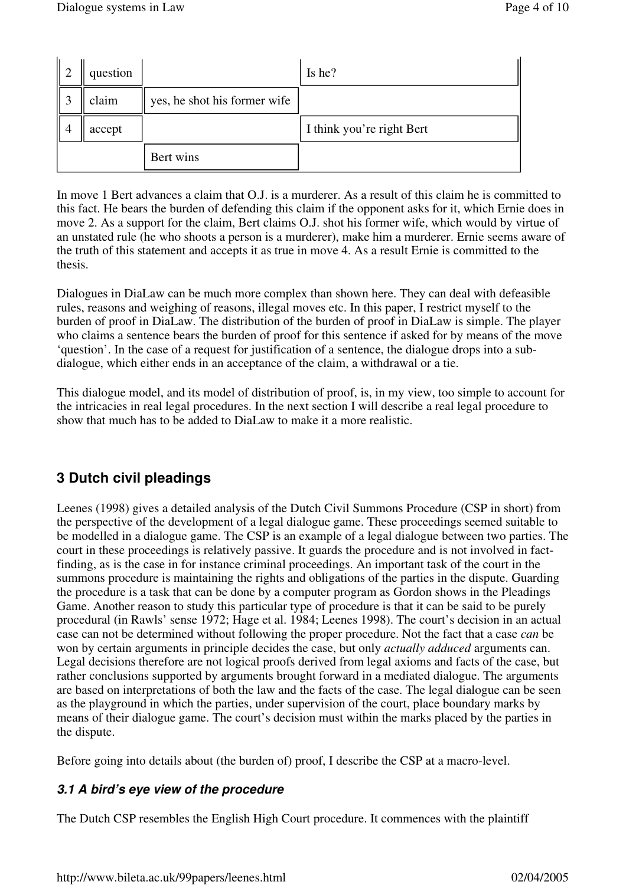| $\parallel 2$  | question |                              | Is he?                    |
|----------------|----------|------------------------------|---------------------------|
| 3              | claim    | yes, he shot his former wife |                           |
| $\overline{4}$ | accept   |                              | I think you're right Bert |
|                |          | Bert wins                    |                           |

In move 1 Bert advances a claim that O.J. is a murderer. As a result of this claim he is committed to this fact. He bears the burden of defending this claim if the opponent asks for it, which Ernie does in move 2. As a support for the claim, Bert claims O.J. shot his former wife, which would by virtue of an unstated rule (he who shoots a person is a murderer), make him a murderer. Ernie seems aware of the truth of this statement and accepts it as true in move 4. As a result Ernie is committed to the thesis.

Dialogues in DiaLaw can be much more complex than shown here. They can deal with defeasible rules, reasons and weighing of reasons, illegal moves etc. In this paper, I restrict myself to the burden of proof in DiaLaw. The distribution of the burden of proof in DiaLaw is simple. The player who claims a sentence bears the burden of proof for this sentence if asked for by means of the move 'question'. In the case of a request for justification of a sentence, the dialogue drops into a subdialogue, which either ends in an acceptance of the claim, a withdrawal or a tie.

This dialogue model, and its model of distribution of proof, is, in my view, too simple to account for the intricacies in real legal procedures. In the next section I will describe a real legal procedure to show that much has to be added to DiaLaw to make it a more realistic.

# **3 Dutch civil pleadings**

Leenes (1998) gives a detailed analysis of the Dutch Civil Summons Procedure (CSP in short) from the perspective of the development of a legal dialogue game. These proceedings seemed suitable to be modelled in a dialogue game. The CSP is an example of a legal dialogue between two parties. The court in these proceedings is relatively passive. It guards the procedure and is not involved in factfinding, as is the case in for instance criminal proceedings. An important task of the court in the summons procedure is maintaining the rights and obligations of the parties in the dispute. Guarding the procedure is a task that can be done by a computer program as Gordon shows in the Pleadings Game. Another reason to study this particular type of procedure is that it can be said to be purely procedural (in Rawls' sense 1972; Hage et al. 1984; Leenes 1998). The court's decision in an actual case can not be determined without following the proper procedure. Not the fact that a case *can* be won by certain arguments in principle decides the case, but only *actually adduced* arguments can. Legal decisions therefore are not logical proofs derived from legal axioms and facts of the case, but rather conclusions supported by arguments brought forward in a mediated dialogue. The arguments are based on interpretations of both the law and the facts of the case. The legal dialogue can be seen as the playground in which the parties, under supervision of the court, place boundary marks by means of their dialogue game. The court's decision must within the marks placed by the parties in the dispute.

Before going into details about (the burden of) proof, I describe the CSP at a macro-level.

### **3.1 A bird's eye view of the procedure**

The Dutch CSP resembles the English High Court procedure. It commences with the plaintiff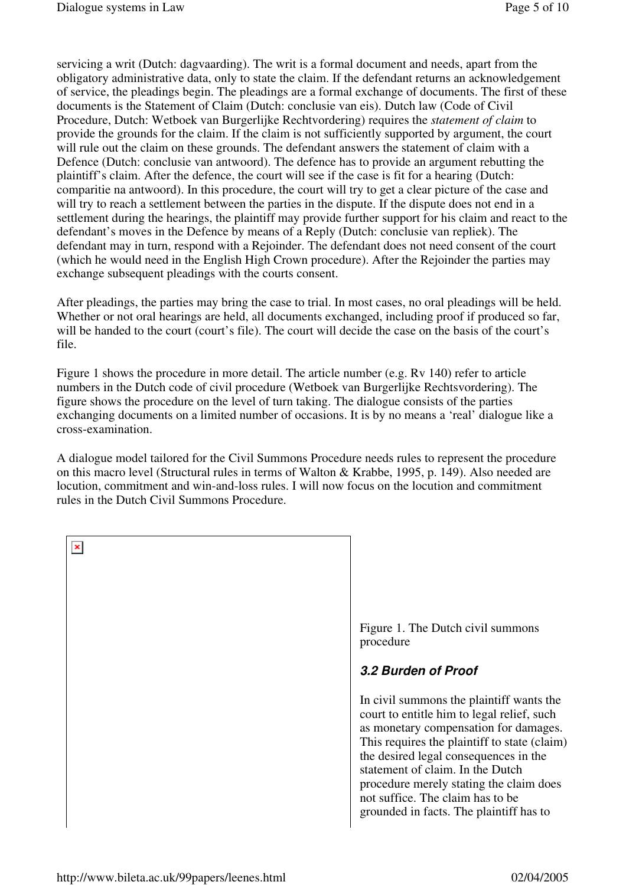servicing a writ (Dutch: dagvaarding). The writ is a formal document and needs, apart from the obligatory administrative data, only to state the claim. If the defendant returns an acknowledgement of service, the pleadings begin. The pleadings are a formal exchange of documents. The first of these documents is the Statement of Claim (Dutch: conclusie van eis). Dutch law (Code of Civil Procedure, Dutch: Wetboek van Burgerlijke Rechtvordering) requires the *statement of claim* to provide the grounds for the claim. If the claim is not sufficiently supported by argument, the court will rule out the claim on these grounds. The defendant answers the statement of claim with a Defence (Dutch: conclusie van antwoord). The defence has to provide an argument rebutting the plaintiff's claim. After the defence, the court will see if the case is fit for a hearing (Dutch: comparitie na antwoord). In this procedure, the court will try to get a clear picture of the case and will try to reach a settlement between the parties in the dispute. If the dispute does not end in a settlement during the hearings, the plaintiff may provide further support for his claim and react to the defendant's moves in the Defence by means of a Reply (Dutch: conclusie van repliek). The defendant may in turn, respond with a Rejoinder. The defendant does not need consent of the court (which he would need in the English High Crown procedure). After the Rejoinder the parties may exchange subsequent pleadings with the courts consent.

After pleadings, the parties may bring the case to trial. In most cases, no oral pleadings will be held. Whether or not oral hearings are held, all documents exchanged, including proof if produced so far, will be handed to the court (court's file). The court will decide the case on the basis of the court's file.

Figure 1 shows the procedure in more detail. The article number (e.g. Rv 140) refer to article numbers in the Dutch code of civil procedure (Wetboek van Burgerlijke Rechtsvordering). The figure shows the procedure on the level of turn taking. The dialogue consists of the parties exchanging documents on a limited number of occasions. It is by no means a 'real' dialogue like a cross-examination.

A dialogue model tailored for the Civil Summons Procedure needs rules to represent the procedure on this macro level (Structural rules in terms of Walton & Krabbe, 1995, p. 149). Also needed are locution, commitment and win-and-loss rules. I will now focus on the locution and commitment rules in the Dutch Civil Summons Procedure.

| Figure 1. The Dutch civil summons<br>procedure                                                                                                                                                                                                                                                                                                                                         |
|----------------------------------------------------------------------------------------------------------------------------------------------------------------------------------------------------------------------------------------------------------------------------------------------------------------------------------------------------------------------------------------|
| 3.2 Burden of Proof                                                                                                                                                                                                                                                                                                                                                                    |
| In civil summons the plaintiff wants the<br>court to entitle him to legal relief, such<br>as monetary compensation for damages.<br>This requires the plaintiff to state (claim)<br>the desired legal consequences in the<br>statement of claim. In the Dutch<br>procedure merely stating the claim does<br>not suffice. The claim has to be<br>grounded in facts. The plaintiff has to |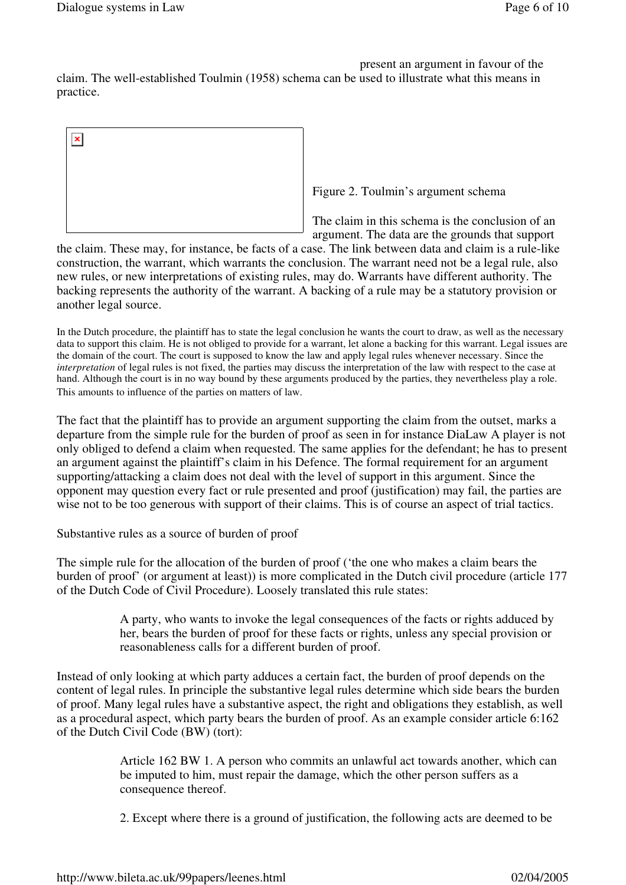present an argument in favour of the

claim. The well-established Toulmin (1958) schema can be used to illustrate what this means in practice.



Figure 2. Toulmin's argument schema

The claim in this schema is the conclusion of an argument. The data are the grounds that support

the claim. These may, for instance, be facts of a case. The link between data and claim is a rule-like construction, the warrant, which warrants the conclusion. The warrant need not be a legal rule, also new rules, or new interpretations of existing rules, may do. Warrants have different authority. The backing represents the authority of the warrant. A backing of a rule may be a statutory provision or another legal source.

In the Dutch procedure, the plaintiff has to state the legal conclusion he wants the court to draw, as well as the necessary data to support this claim. He is not obliged to provide for a warrant, let alone a backing for this warrant. Legal issues are the domain of the court. The court is supposed to know the law and apply legal rules whenever necessary. Since the *interpretation* of legal rules is not fixed, the parties may discuss the interpretation of the law with respect to the case at hand. Although the court is in no way bound by these arguments produced by the parties, they nevertheless play a role. This amounts to influence of the parties on matters of law.

The fact that the plaintiff has to provide an argument supporting the claim from the outset, marks a departure from the simple rule for the burden of proof as seen in for instance DiaLaw A player is not only obliged to defend a claim when requested. The same applies for the defendant; he has to present an argument against the plaintiff's claim in his Defence. The formal requirement for an argument supporting/attacking a claim does not deal with the level of support in this argument. Since the opponent may question every fact or rule presented and proof (justification) may fail, the parties are wise not to be too generous with support of their claims. This is of course an aspect of trial tactics.

Substantive rules as a source of burden of proof

The simple rule for the allocation of the burden of proof ('the one who makes a claim bears the burden of proof' (or argument at least)) is more complicated in the Dutch civil procedure (article 177 of the Dutch Code of Civil Procedure). Loosely translated this rule states:

> A party, who wants to invoke the legal consequences of the facts or rights adduced by her, bears the burden of proof for these facts or rights, unless any special provision or reasonableness calls for a different burden of proof.

Instead of only looking at which party adduces a certain fact, the burden of proof depends on the content of legal rules. In principle the substantive legal rules determine which side bears the burden of proof. Many legal rules have a substantive aspect, the right and obligations they establish, as well as a procedural aspect, which party bears the burden of proof. As an example consider article 6:162 of the Dutch Civil Code (BW) (tort):

> Article 162 BW 1. A person who commits an unlawful act towards another, which can be imputed to him, must repair the damage, which the other person suffers as a consequence thereof.

2. Except where there is a ground of justification, the following acts are deemed to be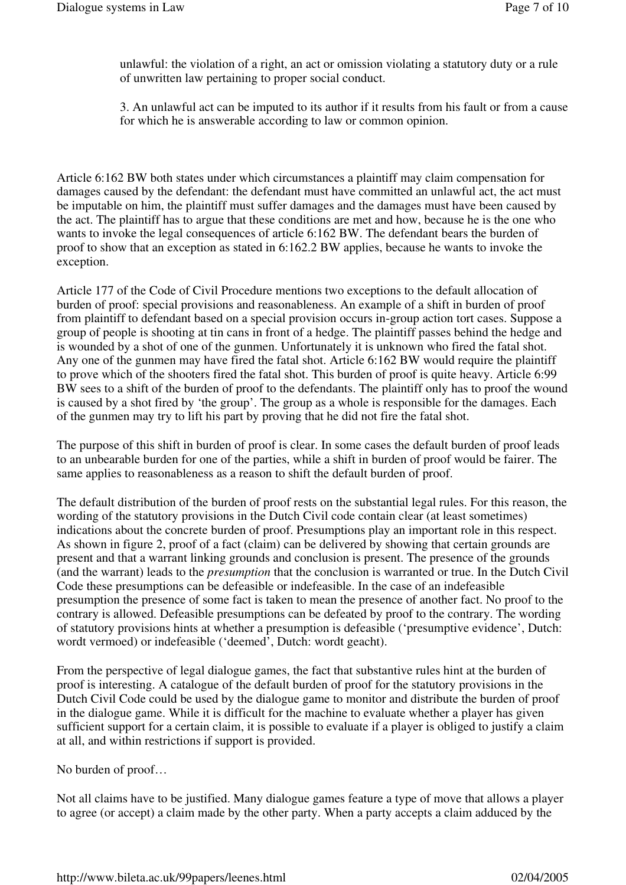unlawful: the violation of a right, an act or omission violating a statutory duty or a rule of unwritten law pertaining to proper social conduct.

3. An unlawful act can be imputed to its author if it results from his fault or from a cause for which he is answerable according to law or common opinion.

Article 6:162 BW both states under which circumstances a plaintiff may claim compensation for damages caused by the defendant: the defendant must have committed an unlawful act, the act must be imputable on him, the plaintiff must suffer damages and the damages must have been caused by the act. The plaintiff has to argue that these conditions are met and how, because he is the one who wants to invoke the legal consequences of article 6:162 BW. The defendant bears the burden of proof to show that an exception as stated in 6:162.2 BW applies, because he wants to invoke the exception.

Article 177 of the Code of Civil Procedure mentions two exceptions to the default allocation of burden of proof: special provisions and reasonableness. An example of a shift in burden of proof from plaintiff to defendant based on a special provision occurs in-group action tort cases. Suppose a group of people is shooting at tin cans in front of a hedge. The plaintiff passes behind the hedge and is wounded by a shot of one of the gunmen. Unfortunately it is unknown who fired the fatal shot. Any one of the gunmen may have fired the fatal shot. Article 6:162 BW would require the plaintiff to prove which of the shooters fired the fatal shot. This burden of proof is quite heavy. Article 6:99 BW sees to a shift of the burden of proof to the defendants. The plaintiff only has to proof the wound is caused by a shot fired by 'the group'. The group as a whole is responsible for the damages. Each of the gunmen may try to lift his part by proving that he did not fire the fatal shot.

The purpose of this shift in burden of proof is clear. In some cases the default burden of proof leads to an unbearable burden for one of the parties, while a shift in burden of proof would be fairer. The same applies to reasonableness as a reason to shift the default burden of proof.

The default distribution of the burden of proof rests on the substantial legal rules. For this reason, the wording of the statutory provisions in the Dutch Civil code contain clear (at least sometimes) indications about the concrete burden of proof. Presumptions play an important role in this respect. As shown in figure 2, proof of a fact (claim) can be delivered by showing that certain grounds are present and that a warrant linking grounds and conclusion is present. The presence of the grounds (and the warrant) leads to the *presumption* that the conclusion is warranted or true. In the Dutch Civil Code these presumptions can be defeasible or indefeasible. In the case of an indefeasible presumption the presence of some fact is taken to mean the presence of another fact. No proof to the contrary is allowed. Defeasible presumptions can be defeated by proof to the contrary. The wording of statutory provisions hints at whether a presumption is defeasible ('presumptive evidence', Dutch: wordt vermoed) or indefeasible ('deemed', Dutch: wordt geacht).

From the perspective of legal dialogue games, the fact that substantive rules hint at the burden of proof is interesting. A catalogue of the default burden of proof for the statutory provisions in the Dutch Civil Code could be used by the dialogue game to monitor and distribute the burden of proof in the dialogue game. While it is difficult for the machine to evaluate whether a player has given sufficient support for a certain claim, it is possible to evaluate if a player is obliged to justify a claim at all, and within restrictions if support is provided.

#### No burden of proof…

Not all claims have to be justified. Many dialogue games feature a type of move that allows a player to agree (or accept) a claim made by the other party. When a party accepts a claim adduced by the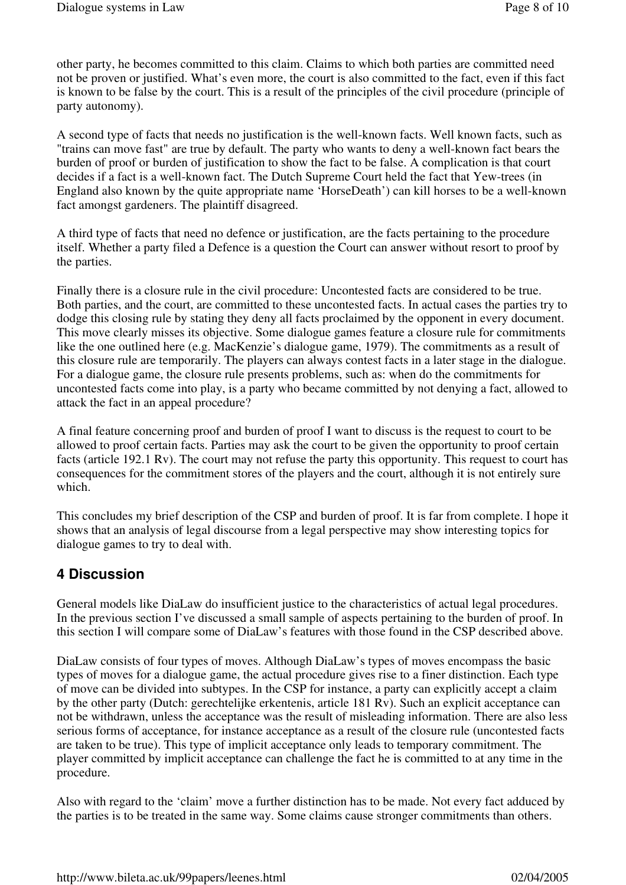other party, he becomes committed to this claim. Claims to which both parties are committed need not be proven or justified. What's even more, the court is also committed to the fact, even if this fact is known to be false by the court. This is a result of the principles of the civil procedure (principle of party autonomy).

A second type of facts that needs no justification is the well-known facts. Well known facts, such as "trains can move fast" are true by default. The party who wants to deny a well-known fact bears the burden of proof or burden of justification to show the fact to be false. A complication is that court decides if a fact is a well-known fact. The Dutch Supreme Court held the fact that Yew-trees (in England also known by the quite appropriate name 'HorseDeath') can kill horses to be a well-known fact amongst gardeners. The plaintiff disagreed.

A third type of facts that need no defence or justification, are the facts pertaining to the procedure itself. Whether a party filed a Defence is a question the Court can answer without resort to proof by the parties.

Finally there is a closure rule in the civil procedure: Uncontested facts are considered to be true. Both parties, and the court, are committed to these uncontested facts. In actual cases the parties try to dodge this closing rule by stating they deny all facts proclaimed by the opponent in every document. This move clearly misses its objective. Some dialogue games feature a closure rule for commitments like the one outlined here (e.g. MacKenzie's dialogue game, 1979). The commitments as a result of this closure rule are temporarily. The players can always contest facts in a later stage in the dialogue. For a dialogue game, the closure rule presents problems, such as: when do the commitments for uncontested facts come into play, is a party who became committed by not denying a fact, allowed to attack the fact in an appeal procedure?

A final feature concerning proof and burden of proof I want to discuss is the request to court to be allowed to proof certain facts. Parties may ask the court to be given the opportunity to proof certain facts (article 192.1 Rv). The court may not refuse the party this opportunity. This request to court has consequences for the commitment stores of the players and the court, although it is not entirely sure which.

This concludes my brief description of the CSP and burden of proof. It is far from complete. I hope it shows that an analysis of legal discourse from a legal perspective may show interesting topics for dialogue games to try to deal with.

# **4 Discussion**

General models like DiaLaw do insufficient justice to the characteristics of actual legal procedures. In the previous section I've discussed a small sample of aspects pertaining to the burden of proof. In this section I will compare some of DiaLaw's features with those found in the CSP described above.

DiaLaw consists of four types of moves. Although DiaLaw's types of moves encompass the basic types of moves for a dialogue game, the actual procedure gives rise to a finer distinction. Each type of move can be divided into subtypes. In the CSP for instance, a party can explicitly accept a claim by the other party (Dutch: gerechtelijke erkentenis, article 181 Rv). Such an explicit acceptance can not be withdrawn, unless the acceptance was the result of misleading information. There are also less serious forms of acceptance, for instance acceptance as a result of the closure rule (uncontested facts are taken to be true). This type of implicit acceptance only leads to temporary commitment. The player committed by implicit acceptance can challenge the fact he is committed to at any time in the procedure.

Also with regard to the 'claim' move a further distinction has to be made. Not every fact adduced by the parties is to be treated in the same way. Some claims cause stronger commitments than others.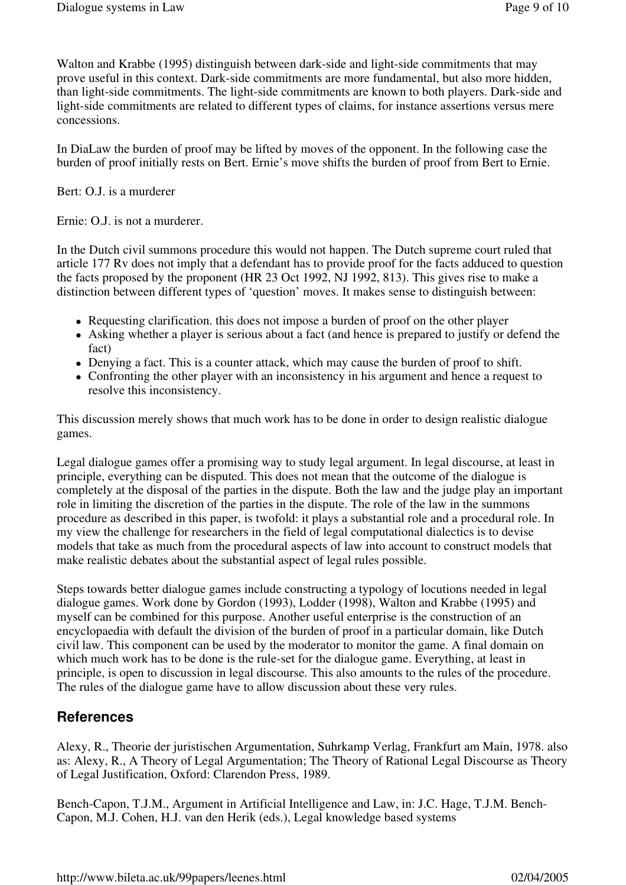Walton and Krabbe (1995) distinguish between dark-side and light-side commitments that may prove useful in this context. Dark-side commitments are more fundamental, but also more hidden, than light-side commitments. The light-side commitments are known to both players. Dark-side and light-side commitments are related to different types of claims, for instance assertions versus mere concessions.

In DiaLaw the burden of proof may be lifted by moves of the opponent. In the following case the burden of proof initially rests on Bert. Ernie's move shifts the burden of proof from Bert to Ernie.

#### Bert: O.J. is a murderer

Ernie: O.J. is not a murderer.

In the Dutch civil summons procedure this would not happen. The Dutch supreme court ruled that article 177 Rv does not imply that a defendant has to provide proof for the facts adduced to question the facts proposed by the proponent (HR 23 Oct 1992, NJ 1992, 813). This gives rise to make a distinction between different types of 'question' moves. It makes sense to distinguish between:

- Requesting clarification. this does not impose a burden of proof on the other player
- Asking whether a player is serious about a fact (and hence is prepared to justify or defend the fact)
- Denying a fact. This is a counter attack, which may cause the burden of proof to shift.
- Confronting the other player with an inconsistency in his argument and hence a request to resolve this inconsistency.

This discussion merely shows that much work has to be done in order to design realistic dialogue games.

Legal dialogue games offer a promising way to study legal argument. In legal discourse, at least in principle, everything can be disputed. This does not mean that the outcome of the dialogue is completely at the disposal of the parties in the dispute. Both the law and the judge play an important role in limiting the discretion of the parties in the dispute. The role of the law in the summons procedure as described in this paper, is twofold: it plays a substantial role and a procedural role. In my view the challenge for researchers in the field of legal computational dialectics is to devise models that take as much from the procedural aspects of law into account to construct models that make realistic debates about the substantial aspect of legal rules possible.

Steps towards better dialogue games include constructing a typology of locutions needed in legal dialogue games. Work done by Gordon (1993), Lodder (1998), Walton and Krabbe (1995) and myself can be combined for this purpose. Another useful enterprise is the construction of an encyclopaedia with default the division of the burden of proof in a particular domain, like Dutch civil law. This component can be used by the moderator to monitor the game. A final domain on which much work has to be done is the rule-set for the dialogue game. Everything, at least in principle, is open to discussion in legal discourse. This also amounts to the rules of the procedure. The rules of the dialogue game have to allow discussion about these very rules.

### **References**

Alexy, R., Theorie der juristischen Argumentation, Suhrkamp Verlag, Frankfurt am Main, 1978. also as: Alexy, R., A Theory of Legal Argumentation; The Theory of Rational Legal Discourse as Theory of Legal Justification, Oxford: Clarendon Press, 1989.

Bench-Capon, T.J.M., Argument in Artificial Intelligence and Law, in: J.C. Hage, T.J.M. Bench-Capon, M.J. Cohen, H.J. van den Herik (eds.), Legal knowledge based systems